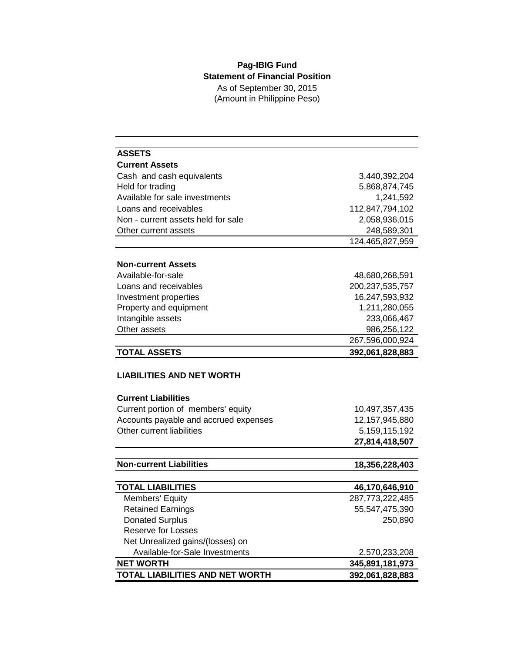## **Pag-IBIG Fund Statement of Financial Position** As of September 30, 2015 (Amount in Philippine Peso)

| <b>ASSETS</b>                                                      |                  |  |  |
|--------------------------------------------------------------------|------------------|--|--|
| <b>Current Assets</b>                                              |                  |  |  |
| Cash and cash equivalents                                          | 3,440,392,204    |  |  |
| Held for trading                                                   | 5,868,874,745    |  |  |
| Available for sale investments                                     | 1,241,592        |  |  |
| Loans and receivables                                              | 112,847,794,102  |  |  |
| Non - current assets held for sale                                 | 2,058,936,015    |  |  |
| Other current assets                                               | 248,589,301      |  |  |
|                                                                    | 124,465,827,959  |  |  |
| <b>Non-current Assets</b>                                          |                  |  |  |
| Available-for-sale                                                 | 48,680,268,591   |  |  |
| Loans and receivables                                              | 200,237,535,757  |  |  |
| Investment properties                                              | 16,247,593,932   |  |  |
| Property and equipment                                             | 1,211,280,055    |  |  |
| Intangible assets                                                  | 233,066,467      |  |  |
| Other assets                                                       | 986,256,122      |  |  |
|                                                                    | 267,596,000,924  |  |  |
| <b>TOTAL ASSETS</b>                                                | 392,061,828,883  |  |  |
| <b>LIABILITIES AND NET WORTH</b>                                   |                  |  |  |
|                                                                    |                  |  |  |
| <b>Current Liabilities</b>                                         |                  |  |  |
| Current portion of members' equity                                 | 10,497,357,435   |  |  |
| Accounts payable and accrued expenses                              | 12,157,945,880   |  |  |
| Other current liabilities                                          | 5, 159, 115, 192 |  |  |
|                                                                    | 27,814,418,507   |  |  |
| <b>Non-current Liabilities</b>                                     | 18,356,228,403   |  |  |
|                                                                    |                  |  |  |
| <b>TOTAL LIABILITIES</b>                                           | 46,170,646,910   |  |  |
| Members' Equity                                                    | 287,773,222,485  |  |  |
| <b>Retained Earnings</b>                                           | 55,547,475,390   |  |  |
| <b>Donated Surplus</b><br>Reserve for Losses                       | 250,890          |  |  |
|                                                                    |                  |  |  |
| Net Unrealized gains/(losses) on<br>Available-for-Sale Investments | 2,570,233,208    |  |  |
| <b>NET WORTH</b>                                                   | 345,891,181,973  |  |  |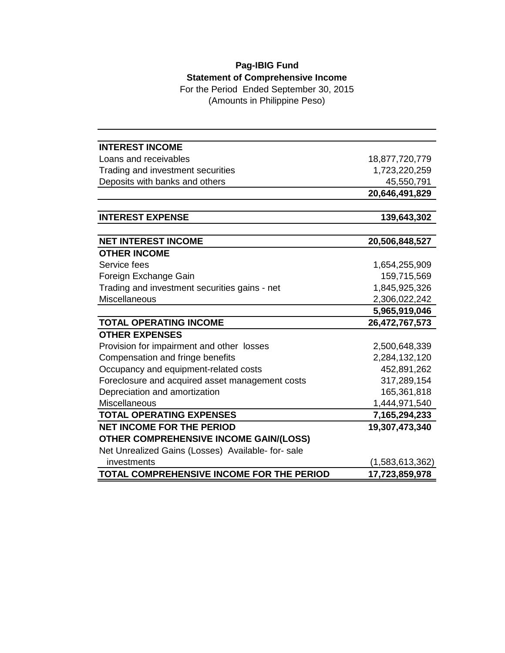## **Pag-IBIG Fund Statement of Comprehensive Income**

For the Period Ended September 30, 2015 (Amounts in Philippine Peso)

| <b>INTEREST INCOME</b>                            |                 |
|---------------------------------------------------|-----------------|
| Loans and receivables                             | 18,877,720,779  |
| Trading and investment securities                 | 1,723,220,259   |
| Deposits with banks and others                    | 45,550,791      |
|                                                   | 20,646,491,829  |
|                                                   |                 |
| <b>INTEREST EXPENSE</b>                           | 139,643,302     |
|                                                   |                 |
| <b>NET INTEREST INCOME</b>                        | 20,506,848,527  |
| <b>OTHER INCOME</b>                               |                 |
| Service fees                                      | 1,654,255,909   |
| Foreign Exchange Gain                             | 159,715,569     |
| Trading and investment securities gains - net     | 1,845,925,326   |
| <b>Miscellaneous</b>                              | 2,306,022,242   |
|                                                   | 5,965,919,046   |
| <b>TOTAL OPERATING INCOME</b>                     | 26,472,767,573  |
| <b>OTHER EXPENSES</b>                             |                 |
| Provision for impairment and other losses         | 2,500,648,339   |
| Compensation and fringe benefits                  | 2,284,132,120   |
| Occupancy and equipment-related costs             | 452,891,262     |
| Foreclosure and acquired asset management costs   | 317,289,154     |
| Depreciation and amortization                     | 165,361,818     |
| Miscellaneous                                     | 1,444,971,540   |
| <b>TOTAL OPERATING EXPENSES</b>                   | 7,165,294,233   |
| <b>NET INCOME FOR THE PERIOD</b>                  | 19,307,473,340  |
| <b>OTHER COMPREHENSIVE INCOME GAIN/(LOSS)</b>     |                 |
| Net Unrealized Gains (Losses) Available- for-sale |                 |
| investments                                       | (1,583,613,362) |
| TOTAL COMPREHENSIVE INCOME FOR THE PERIOD         | 17,723,859,978  |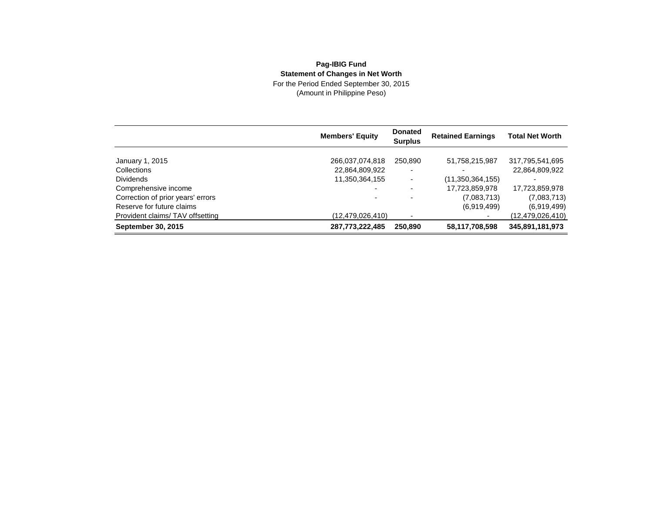## **Pag-IBIG Fund Statement of Changes in Net Worth**

For the Period Ended September 30, 2015 (Amount in Philippine Peso)

|                                   | <b>Members' Equity</b> | <b>Donated</b><br><b>Surplus</b> | <b>Retained Earnings</b> | <b>Total Net Worth</b> |
|-----------------------------------|------------------------|----------------------------------|--------------------------|------------------------|
| January 1, 2015                   | 266,037,074,818        | 250,890                          | 51,758,215,987           | 317,795,541,695        |
| Collections                       | 22,864,809,922         | $\overline{\phantom{a}}$         |                          | 22,864,809,922         |
| <b>Dividends</b>                  | 11,350,364,155         | ٠                                | (11,350,364,155)         |                        |
| Comprehensive income              |                        | $\overline{\phantom{a}}$         | 17,723,859,978           | 17,723,859,978         |
| Correction of prior years' errors |                        |                                  | (7,083,713)              | (7,083,713)            |
| Reserve for future claims         |                        |                                  | (6,919,499)              | (6,919,499)            |
| Provident claims/TAV offsetting   | (12,479,026,410)       |                                  |                          | (12,479,026,410)       |
| <b>September 30, 2015</b>         | 287,773,222,485        | 250,890                          | 58,117,708,598           | 345,891,181,973        |